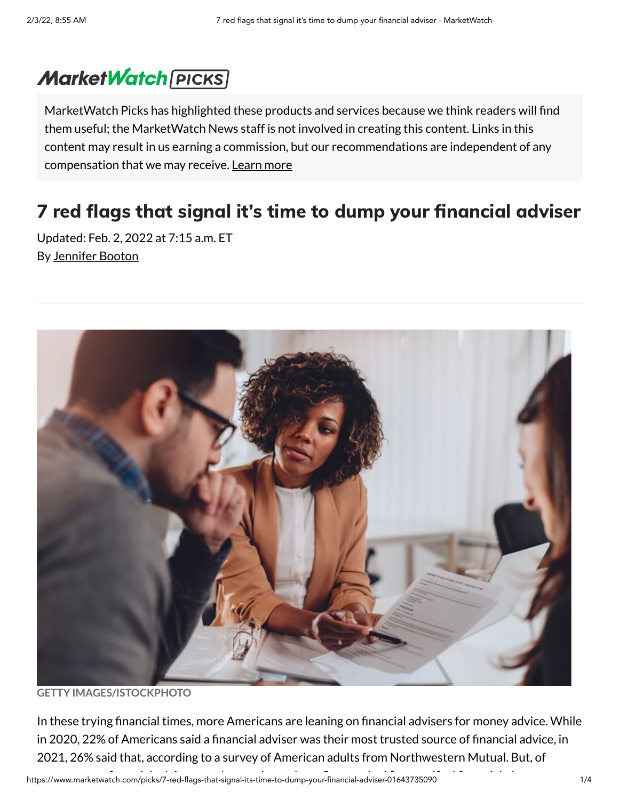## **MarketWatch [PICKS]**

MarketWatch Picks has highlighted these products and services because we think readers will find them useful; the MarketWatch News staff is not involved in creating this content. Links in this content may result in us earning a commission, but our recommendations are independent of any compensation that we may receive. [Learn](https://www.marketwatch.com/picks/disclaimer?mod=article_inline) more

## 7 red flags that signal it's time to dump your financial adviser

Updated: Feb. 2, 2022 at 7:15 a.m. ET By [Jennifer](https://www.marketwatch.com/author/jennifer-booton) Booton



**GETTY IMAGES/ISTOCKPHOTO**

In these trying financial times, more Americans are leaning on financial advisers for money advice. While in 2020, 22% of Americans said a financial adviser was their most trusted source of financial advice, in 2021, 26% said that, according to a survey of American adults from Northwestern Mutual. But, of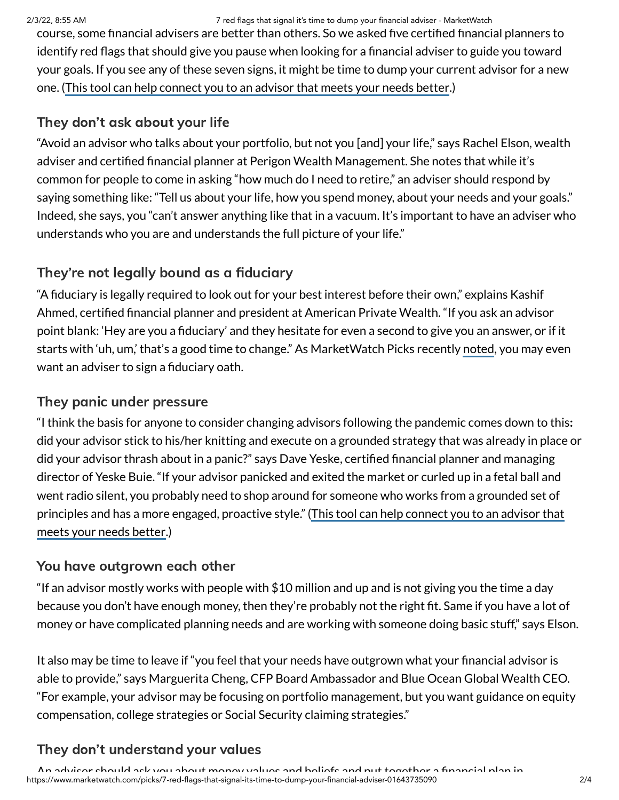2/3/22, 8:55 AM 7 red flags that signal it's time to dump your financial adviser - MarketWatch

course, some financial advisers are better than others. So we asked five certified financial planners to identify red flags that should give you pause when looking for a financial adviser to guide you toward your goals. If you see any of these seven signs, it might be time to dump your current advisor for a new one. (This tool can help connect you to an advisor that meets your [needs better](https://smartasset.com/retirement/find-a-financial-planner?utm_source=marketwatch&utm_campaign=mar__falc_dtf_marketplacecontent&utm_content=textlink&utm_medium=cpc%20&utm_term=7redflagsadviser013122).)

## They don't ask about your life

"Avoid an advisor who talks about your portfolio, but not you [and] your life," says Rachel Elson, wealth adviser and certified financial planner at Perigon Wealth Management. She notes that while it's common for people to come in asking "how much do I need to retire," an adviser should respond by saying something like: "Tell us about your life, how you spend money, about your needs and your goals." Indeed, she says, you "can't answer anything like that in a vacuum. It's important to have an adviser who understands who you are and understands the full picture of your life."

## They're not legally bound as a fiduciary

"A fiduciary is legally required to look out for your best interest before their own," explains Kashif Ahmed, certified financial planner and president at American Private Wealth. "If you ask an advisor point blank: 'Hey are you a fiduciary' and they hesitate for even a second to give you an answer, or if it starts with 'uh, um,' that's a good time to change." As MarketWatch Picks recently [noted](https://www.marketwatch.com/picks/one-surprising-question-you-should-ask-any-financial-advisor-you-might-hire-their-answer-could-be-a-huge-red-flag-01626895588?mod=article_inline), you may even want an adviser to sign a fiduciary oath.

## They panic under pressure

"I think the basis for anyone to consider changing advisors following the pandemic comes down to this**:** did your advisor stick to his/her knitting and execute on a grounded strategy that was already in place or did your advisor thrash about in a panic?" says Dave Yeske, certified financial planner and managing director of Yeske Buie. "If your advisor panicked and exited the market or curled up in a fetal ball and went radio silent, you probably need to shop around for someone who works from a grounded set of [principles](https://smartasset.com/retirement/find-a-financial-planner?utm_source=marketwatch&utm_campaign=mar__falc_dtf_marketplacecontent&utm_content=textlink&utm_medium=cpc%20&utm_term=7redflagsadviser013122) and has a more engaged, proactive style." (This tool can help connect you to an advisor that meets your needs better.)

## You have outgrown each other

"If an advisor mostly works with people with \$10 million and up and is not giving you the time a day because you don't have enough money, then they're probably not the right fit. Same if you have a lot of money or have complicated planning needs and are working with someone doing basic stuff," says Elson.

It also may be time to leave if "you feel that your needs have outgrown what your financial advisor is able to provide," says Marguerita Cheng, CFP Board Ambassador and Blue Ocean Global Wealth CEO. "For example, your advisor may be focusing on portfolio management, but you want guidance on equity compensation, college strategies or Social Security claiming strategies."

## They don't understand your values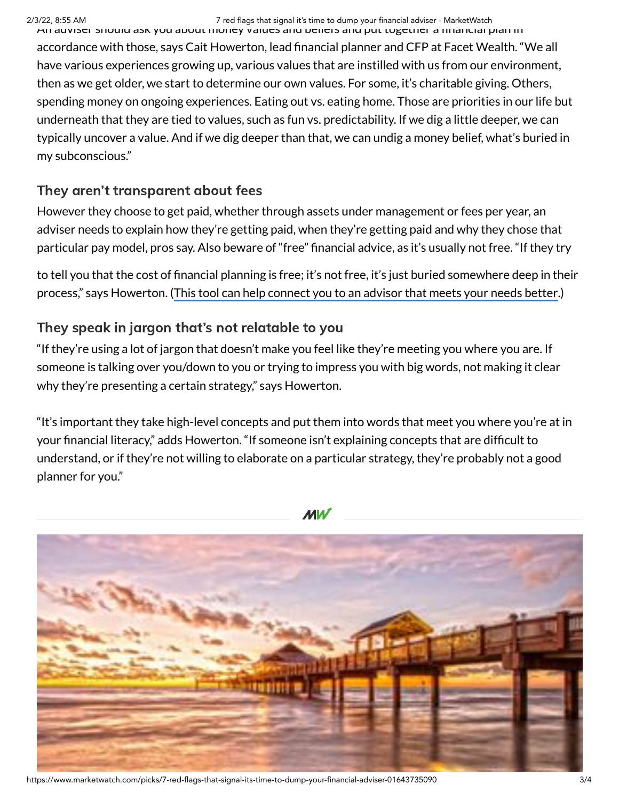An adviser should ask you about money values and beliefs and put together a financial plan in accordance with those, says Cait Howerton, lead financial planner and CFP at Facet Wealth. "We all have various experiences growing up, various values that are instilled with us from our environment, then as we get older, we start to determine our own values. For some, it's charitable giving. Others, spending money on ongoing experiences. Eating out vs. eating home. Those are priorities in our life but underneath that they are tied to values, such as fun vs. predictability. If we dig a little deeper, we can typically uncover a value. And if we dig deeper than that, we can undig a money belief, what's buried in my subconscious."

#### They aren't transparent about fees

However they choose to get paid, whether through assets under management or fees per year, an adviser needs to explain how they're getting paid, when they're getting paid and why they chose that particular pay model, pros say. Also beware of "free" financial advice, as it's usually not free. "If they try

to tell you that the cost of financial planning is free; it's not free, it's just buried somewhere deep in their process," says Howerton. (This tool can help connect you to an advisor that meets your [needs better](https://smartasset.com/retirement/find-a-financial-planner?utm_source=marketwatch&utm_campaign=mar__falc_dtf_marketplacecontent&utm_content=textlink&utm_medium=cpc%20&utm_term=7redflagsadviser013122).)

## They speak in jargon that's not relatable to you

"If they're using a lot of jargon that doesn't make you feel like they're meeting you where you are. If someone is talking over you/down to you or trying to impress you with big words, not making it clear why they're presenting a certain strategy," says Howerton.

"It's important they take high-level concepts and put them into words that meet you where you're at in your financial literacy," adds Howerton. "If someone isn't explaining concepts that are difficult to understand, or if they're not willing to elaborate on a particular strategy, they're probably not a good planner for you."

 $MN$ 



https://www.marketwatch.com/picks/7-red-flags-that-signal-its-time-to-dump-your-financial-adviser-01643735090 3/4